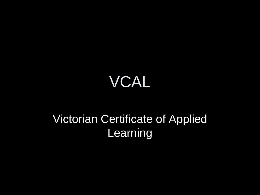#### VCAL

#### Victorian Certificate of Applied Learning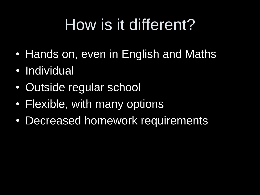## How is it different?

- Hands on, even in English and Maths
- Individual
- Outside regular school
- Flexible, with many options
- Decreased homework requirements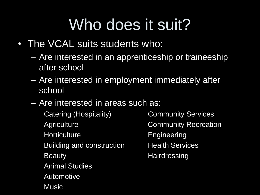## Who does it suit?

- The VCAL suits students who:
	- Are interested in an apprenticeship or traineeship after school
	- Are interested in employment immediately after school
	- Are interested in areas such as:

Catering (Hospitality) Community Services Agriculture **Community Recreation** Horticulture **Engineering** Building and construction Health Services Beauty **Hairdressing** Animal Studies Automotive **Music**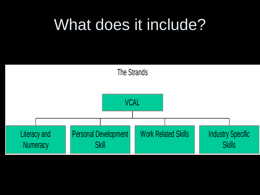#### What does it include?

The Strands

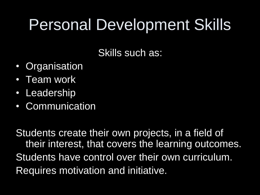### Personal Development Skills

Skills such as:

- Organisation
- Team work
- Leadership
- Communication

Students create their own projects, in a field of their interest, that covers the learning outcomes. Students have control over their own curriculum. Requires motivation and initiative.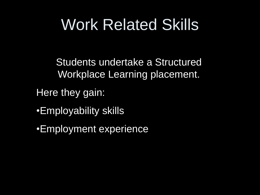### Work Related Skills

Students undertake a Structured Workplace Learning placement.

Here they gain:

•Employability skills

•Employment experience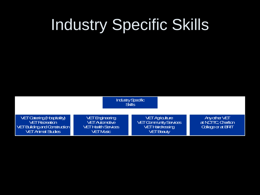# Industry Specific Skills

|                                                                                                                             |                                                                                                | <b>Industry Specific</b><br><b>Skills</b>                                                              |                                                        |
|-----------------------------------------------------------------------------------------------------------------------------|------------------------------------------------------------------------------------------------|--------------------------------------------------------------------------------------------------------|--------------------------------------------------------|
| <b>VET Catering (Hospitality)</b><br><b>VET Regreation</b><br>  VETBuilding and Construction  <br><b>VET Animal Studies</b> | <b>VET Engineering</b><br><b>VET Automotive</b><br><b>VETHealth Services</b><br><b>VETMISC</b> | <b>VET Agriculture</b><br><b>VET Community Services</b><br><b>VETHairdressing</b><br><b>VET Beauty</b> | Anyather VET<br>at NCITC Charlton<br>College or at BRT |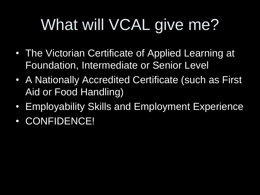# What will VCAL give me?

- The Victorian Certificate of Applied Learning at Foundation, Intermediate or Senior Level
- A Nationally Accredited Certificate (such as First Aid or Food Handling)
- Employability Skills and Employment Experience
- CONFIDENCE!